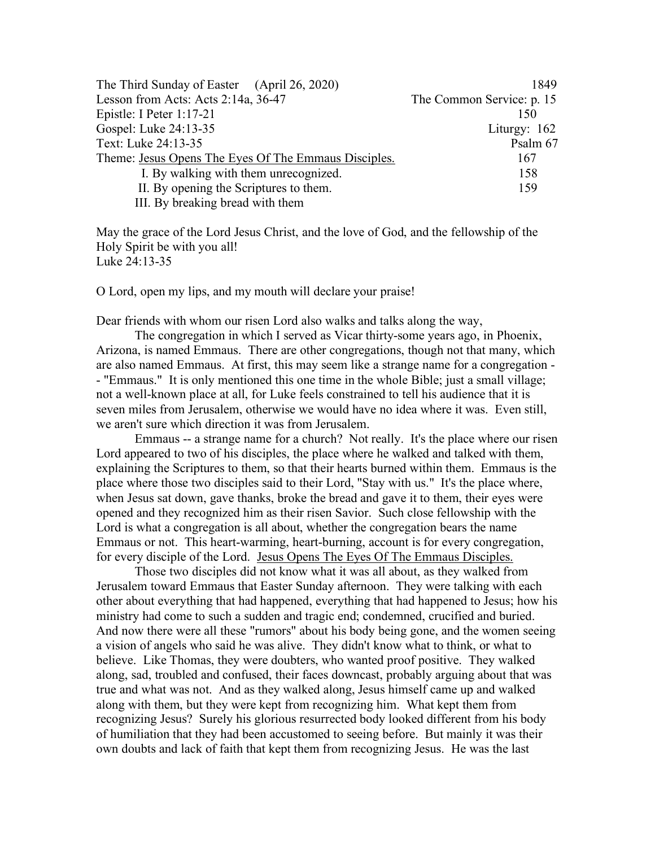| The Third Sunday of Easter (April 26, 2020)          | 1849                      |
|------------------------------------------------------|---------------------------|
| Lesson from Acts: Acts 2:14a, 36-47                  | The Common Service: p. 15 |
| Epistle: I Peter $1:17-21$                           | 150                       |
| Gospel: Luke 24:13-35                                | Liturgy: $162$            |
| Text: Luke 24:13-35                                  | Psalm 67                  |
| Theme: Jesus Opens The Eyes Of The Emmaus Disciples. | 167                       |
| I. By walking with them unrecognized.                | 158                       |
| II. By opening the Scriptures to them.               | 159                       |
| III. By breaking bread with them                     |                           |

May the grace of the Lord Jesus Christ, and the love of God, and the fellowship of the Holy Spirit be with you all! Luke 24:13-35

O Lord, open my lips, and my mouth will declare your praise!

Dear friends with whom our risen Lord also walks and talks along the way,

The congregation in which I served as Vicar thirty-some years ago, in Phoenix, Arizona, is named Emmaus. There are other congregations, though not that many, which are also named Emmaus. At first, this may seem like a strange name for a congregation - - "Emmaus." It is only mentioned this one time in the whole Bible; just a small village; not a well-known place at all, for Luke feels constrained to tell his audience that it is seven miles from Jerusalem, otherwise we would have no idea where it was. Even still, we aren't sure which direction it was from Jerusalem.

Emmaus -- a strange name for a church? Not really. It's the place where our risen Lord appeared to two of his disciples, the place where he walked and talked with them, explaining the Scriptures to them, so that their hearts burned within them. Emmaus is the place where those two disciples said to their Lord, "Stay with us." It's the place where, when Jesus sat down, gave thanks, broke the bread and gave it to them, their eyes were opened and they recognized him as their risen Savior. Such close fellowship with the Lord is what a congregation is all about, whether the congregation bears the name Emmaus or not. This heart-warming, heart-burning, account is for every congregation, for every disciple of the Lord. Jesus Opens The Eyes Of The Emmaus Disciples.

Those two disciples did not know what it was all about, as they walked from Jerusalem toward Emmaus that Easter Sunday afternoon. They were talking with each other about everything that had happened, everything that had happened to Jesus; how his ministry had come to such a sudden and tragic end; condemned, crucified and buried. And now there were all these "rumors" about his body being gone, and the women seeing a vision of angels who said he was alive. They didn't know what to think, or what to believe. Like Thomas, they were doubters, who wanted proof positive. They walked along, sad, troubled and confused, their faces downcast, probably arguing about that was true and what was not. And as they walked along, Jesus himself came up and walked along with them, but they were kept from recognizing him. What kept them from recognizing Jesus? Surely his glorious resurrected body looked different from his body of humiliation that they had been accustomed to seeing before. But mainly it was their own doubts and lack of faith that kept them from recognizing Jesus. He was the last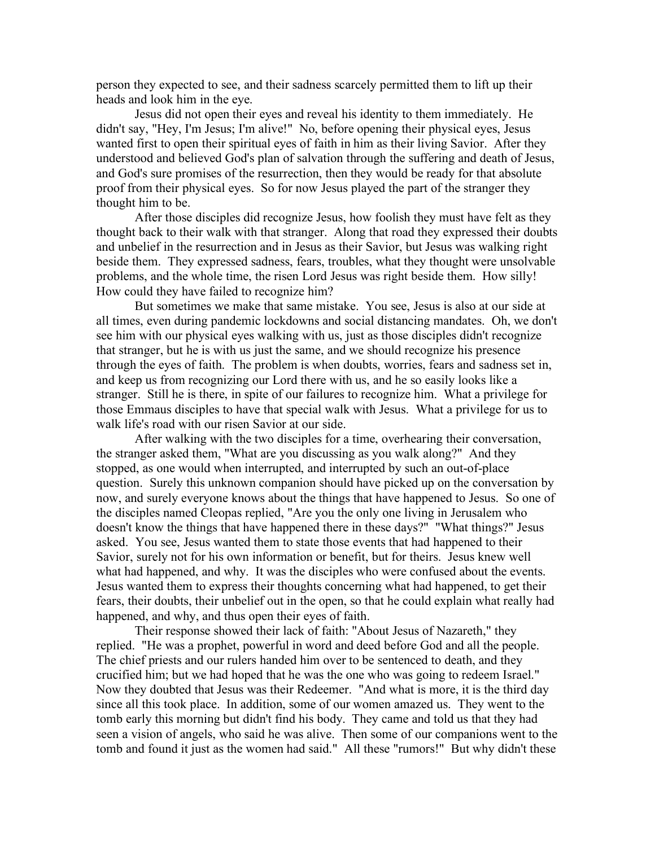person they expected to see, and their sadness scarcely permitted them to lift up their heads and look him in the eye.

Jesus did not open their eyes and reveal his identity to them immediately. He didn't say, "Hey, I'm Jesus; I'm alive!" No, before opening their physical eyes, Jesus wanted first to open their spiritual eyes of faith in him as their living Savior. After they understood and believed God's plan of salvation through the suffering and death of Jesus, and God's sure promises of the resurrection, then they would be ready for that absolute proof from their physical eyes. So for now Jesus played the part of the stranger they thought him to be.

After those disciples did recognize Jesus, how foolish they must have felt as they thought back to their walk with that stranger. Along that road they expressed their doubts and unbelief in the resurrection and in Jesus as their Savior, but Jesus was walking right beside them. They expressed sadness, fears, troubles, what they thought were unsolvable problems, and the whole time, the risen Lord Jesus was right beside them. How silly! How could they have failed to recognize him?

But sometimes we make that same mistake. You see, Jesus is also at our side at all times, even during pandemic lockdowns and social distancing mandates. Oh, we don't see him with our physical eyes walking with us, just as those disciples didn't recognize that stranger, but he is with us just the same, and we should recognize his presence through the eyes of faith. The problem is when doubts, worries, fears and sadness set in, and keep us from recognizing our Lord there with us, and he so easily looks like a stranger. Still he is there, in spite of our failures to recognize him. What a privilege for those Emmaus disciples to have that special walk with Jesus. What a privilege for us to walk life's road with our risen Savior at our side.

After walking with the two disciples for a time, overhearing their conversation, the stranger asked them, "What are you discussing as you walk along?" And they stopped, as one would when interrupted, and interrupted by such an out-of-place question. Surely this unknown companion should have picked up on the conversation by now, and surely everyone knows about the things that have happened to Jesus. So one of the disciples named Cleopas replied, "Are you the only one living in Jerusalem who doesn't know the things that have happened there in these days?" "What things?" Jesus asked. You see, Jesus wanted them to state those events that had happened to their Savior, surely not for his own information or benefit, but for theirs. Jesus knew well what had happened, and why. It was the disciples who were confused about the events. Jesus wanted them to express their thoughts concerning what had happened, to get their fears, their doubts, their unbelief out in the open, so that he could explain what really had happened, and why, and thus open their eyes of faith.

Their response showed their lack of faith: "About Jesus of Nazareth," they replied. "He was a prophet, powerful in word and deed before God and all the people. The chief priests and our rulers handed him over to be sentenced to death, and they crucified him; but we had hoped that he was the one who was going to redeem Israel." Now they doubted that Jesus was their Redeemer. "And what is more, it is the third day since all this took place. In addition, some of our women amazed us. They went to the tomb early this morning but didn't find his body. They came and told us that they had seen a vision of angels, who said he was alive. Then some of our companions went to the tomb and found it just as the women had said." All these "rumors!" But why didn't these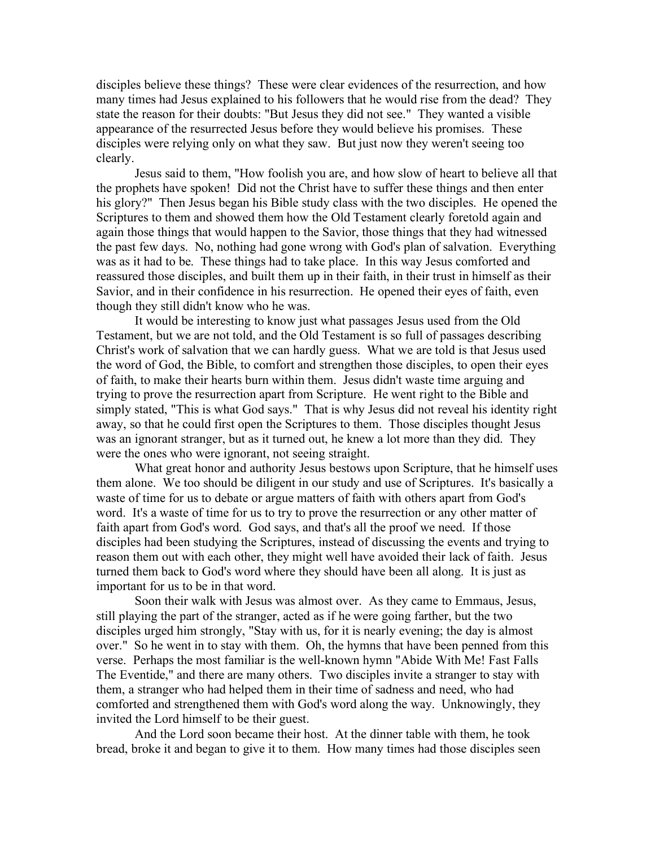disciples believe these things? These were clear evidences of the resurrection, and how many times had Jesus explained to his followers that he would rise from the dead? They state the reason for their doubts: "But Jesus they did not see." They wanted a visible appearance of the resurrected Jesus before they would believe his promises. These disciples were relying only on what they saw. But just now they weren't seeing too clearly.

Jesus said to them, "How foolish you are, and how slow of heart to believe all that the prophets have spoken! Did not the Christ have to suffer these things and then enter his glory?" Then Jesus began his Bible study class with the two disciples. He opened the Scriptures to them and showed them how the Old Testament clearly foretold again and again those things that would happen to the Savior, those things that they had witnessed the past few days. No, nothing had gone wrong with God's plan of salvation. Everything was as it had to be. These things had to take place. In this way Jesus comforted and reassured those disciples, and built them up in their faith, in their trust in himself as their Savior, and in their confidence in his resurrection. He opened their eyes of faith, even though they still didn't know who he was.

It would be interesting to know just what passages Jesus used from the Old Testament, but we are not told, and the Old Testament is so full of passages describing Christ's work of salvation that we can hardly guess. What we are told is that Jesus used the word of God, the Bible, to comfort and strengthen those disciples, to open their eyes of faith, to make their hearts burn within them. Jesus didn't waste time arguing and trying to prove the resurrection apart from Scripture. He went right to the Bible and simply stated, "This is what God says." That is why Jesus did not reveal his identity right away, so that he could first open the Scriptures to them. Those disciples thought Jesus was an ignorant stranger, but as it turned out, he knew a lot more than they did. They were the ones who were ignorant, not seeing straight.

What great honor and authority Jesus bestows upon Scripture, that he himself uses them alone. We too should be diligent in our study and use of Scriptures. It's basically a waste of time for us to debate or argue matters of faith with others apart from God's word. It's a waste of time for us to try to prove the resurrection or any other matter of faith apart from God's word. God says, and that's all the proof we need. If those disciples had been studying the Scriptures, instead of discussing the events and trying to reason them out with each other, they might well have avoided their lack of faith. Jesus turned them back to God's word where they should have been all along. It is just as important for us to be in that word.

Soon their walk with Jesus was almost over. As they came to Emmaus, Jesus, still playing the part of the stranger, acted as if he were going farther, but the two disciples urged him strongly, "Stay with us, for it is nearly evening; the day is almost over." So he went in to stay with them. Oh, the hymns that have been penned from this verse. Perhaps the most familiar is the well-known hymn "Abide With Me! Fast Falls The Eventide," and there are many others. Two disciples invite a stranger to stay with them, a stranger who had helped them in their time of sadness and need, who had comforted and strengthened them with God's word along the way. Unknowingly, they invited the Lord himself to be their guest.

And the Lord soon became their host. At the dinner table with them, he took bread, broke it and began to give it to them. How many times had those disciples seen